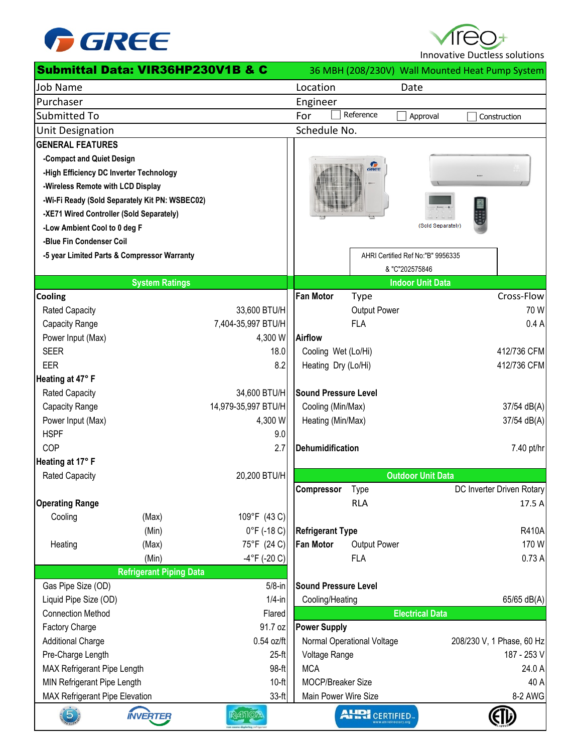

Innovative Ductless solutions

|                                                                       | Submittal Data: VIR36HP230V1B & C              |                       |                             |                       |                                   | 36 MBH (208/230V) Wall Mounted Heat Pump System |
|-----------------------------------------------------------------------|------------------------------------------------|-----------------------|-----------------------------|-----------------------|-----------------------------------|-------------------------------------------------|
| <b>Job Name</b>                                                       |                                                |                       | Location                    |                       | Date                              |                                                 |
| Purchaser                                                             |                                                |                       | Engineer                    |                       |                                   |                                                 |
| Submitted To                                                          |                                                |                       | For                         | Reference             | Approval                          | Construction                                    |
| <b>Unit Designation</b>                                               |                                                |                       | Schedule No.                |                       |                                   |                                                 |
| <b>GENERAL FEATURES</b>                                               |                                                |                       |                             |                       |                                   |                                                 |
| -Compact and Quiet Design                                             |                                                |                       |                             |                       |                                   |                                                 |
| -High Efficiency DC Inverter Technology                               |                                                |                       |                             | GREE                  |                                   |                                                 |
| -Wireless Remote with LCD Display                                     |                                                |                       |                             |                       |                                   |                                                 |
|                                                                       | -Wi-Fi Ready (Sold Separately Kit PN: WSBEC02) |                       |                             |                       |                                   |                                                 |
| -XE71 Wired Controller (Sold Separately)                              |                                                |                       |                             |                       |                                   |                                                 |
| -Low Ambient Cool to 0 deg F                                          |                                                |                       |                             |                       | (Sold Separately)                 |                                                 |
| -Blue Fin Condenser Coil                                              |                                                |                       |                             |                       |                                   |                                                 |
|                                                                       | -5 year Limited Parts & Compressor Warranty    |                       |                             |                       | AHRI Certified Ref No:"B" 9956335 |                                                 |
|                                                                       |                                                |                       |                             |                       | & "C"202575846                    |                                                 |
|                                                                       | <b>System Ratings</b>                          |                       |                             |                       | <b>Indoor Unit Data</b>           |                                                 |
| Cooling                                                               |                                                |                       | <b>Fan Motor</b>            | <b>Type</b>           |                                   | Cross-Flow                                      |
| <b>Rated Capacity</b>                                                 |                                                | 33,600 BTU/H          |                             | Output Power          |                                   | 70 W                                            |
| Capacity Range                                                        |                                                | 7,404-35,997 BTU/H    |                             | <b>FLA</b>            |                                   | 0.4A                                            |
| Power Input (Max)                                                     |                                                | 4,300 W               | <b>Airflow</b>              |                       |                                   |                                                 |
| <b>SEER</b>                                                           |                                                | 18.0                  | Cooling Wet (Lo/Hi)         |                       |                                   | 412/736 CFM                                     |
| EER                                                                   |                                                | 8.2                   | Heating Dry (Lo/Hi)         |                       |                                   | 412/736 CFM                                     |
| Heating at 47° F                                                      |                                                |                       |                             |                       |                                   |                                                 |
| Rated Capacity                                                        |                                                | 34,600 BTU/H          | <b>Sound Pressure Level</b> |                       |                                   |                                                 |
| Capacity Range                                                        |                                                | 14,979-35,997 BTU/H   | Cooling (Min/Max)           |                       |                                   | 37/54 dB(A)                                     |
| Power Input (Max)                                                     |                                                | 4,300 W               | Heating (Min/Max)           |                       |                                   | 37/54 dB(A)                                     |
| <b>HSPF</b>                                                           |                                                | 9.0                   |                             |                       |                                   |                                                 |
| COP                                                                   |                                                | 2.7                   | <b>Dehumidification</b>     |                       |                                   | 7.40 pt/hr                                      |
| Heating at 17° F                                                      |                                                |                       |                             |                       |                                   |                                                 |
| <b>Rated Capacity</b>                                                 |                                                | 20,200 BTU/H          |                             |                       | <b>Outdoor Unit Data</b>          |                                                 |
|                                                                       |                                                |                       | Compressor                  | Type                  |                                   | DC Inverter Driven Rotary                       |
| <b>Operating Range</b>                                                |                                                |                       |                             | <b>RLA</b>            |                                   | 17.5 A                                          |
| Cooling                                                               | (Max)                                          | 109°F (43 C)          |                             |                       |                                   |                                                 |
|                                                                       | (Min)                                          | $0^{\circ}$ F (-18 C) | <b>Refrigerant Type</b>     |                       |                                   | <b>R410A</b>                                    |
| Heating                                                               | (Max)                                          | 75°F (24 C)           | <b>Fan Motor</b>            | Output Power          |                                   | 170W                                            |
|                                                                       | (Min)                                          | $-4$ °F (-20 C)       |                             | <b>FLA</b>            |                                   | 0.73A                                           |
| Gas Pipe Size (OD)                                                    | <b>Refrigerant Piping Data</b>                 | $5/8$ -in             | <b>Sound Pressure Level</b> |                       |                                   |                                                 |
| Liquid Pipe Size (OD)                                                 |                                                | $1/4$ -in             | Cooling/Heating             |                       |                                   | 65/65 dB(A)                                     |
| <b>Connection Method</b>                                              |                                                | Flared                |                             |                       | <b>Electrical Data</b>            |                                                 |
| Factory Charge                                                        |                                                | 91.7 oz               | <b>Power Supply</b>         |                       |                                   |                                                 |
| <b>Additional Charge</b>                                              |                                                | 0.54 oz/ft            | Normal Operational Voltage  |                       |                                   | 208/230 V, 1 Phase, 60 Hz                       |
| Pre-Charge Length                                                     |                                                | $25-ft$               | Voltage Range               |                       |                                   | 187 - 253 V                                     |
|                                                                       |                                                | 98-ft                 | <b>MCA</b>                  |                       |                                   | 24.0 A                                          |
| MAX Refrigerant Pipe Length<br>$10-ft$<br>MIN Refrigerant Pipe Length |                                                |                       | MOCP/Breaker Size           |                       |                                   | 40 A                                            |
| <b>MAX Refrigerant Pipe Elevation</b>                                 |                                                | $33-ft$               | Main Power Wire Size        |                       |                                   | 8-2 AWG                                         |
| $\overline{5}$                                                        | <b>INVERTER</b>                                | R4510/                |                             | <b>AHRI</b> CERTIFIED |                                   |                                                 |
|                                                                       |                                                |                       |                             |                       |                                   |                                                 |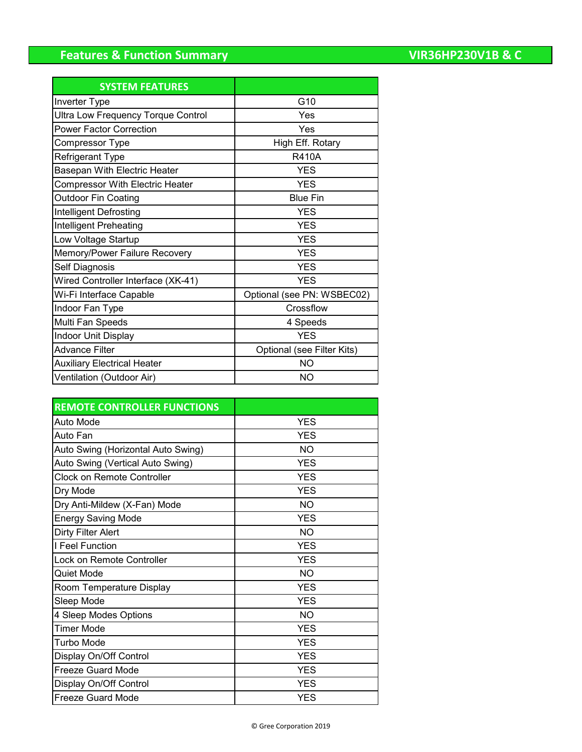# **Features & Function Summary**

| <b>VIR36HP230V1B &amp; C</b> |  |  |  |  |
|------------------------------|--|--|--|--|
|                              |  |  |  |  |

| <b>SYSTEM FEATURES</b>                 |                            |
|----------------------------------------|----------------------------|
| Inverter Type                          | G10                        |
| Ultra Low Frequency Torque Control     | Yes                        |
| <b>Power Factor Correction</b>         | Yes                        |
| Compressor Type                        | High Eff. Rotary           |
| Refrigerant Type                       | <b>R410A</b>               |
| Basepan With Electric Heater           | <b>YES</b>                 |
| <b>Compressor With Electric Heater</b> | <b>YES</b>                 |
| <b>Outdoor Fin Coating</b>             | <b>Blue Fin</b>            |
| Intelligent Defrosting                 | <b>YES</b>                 |
| Intelligent Preheating                 | <b>YES</b>                 |
| Low Voltage Startup                    | <b>YES</b>                 |
| Memory/Power Failure Recovery          | <b>YES</b>                 |
| <b>Self Diagnosis</b>                  | <b>YES</b>                 |
| Wired Controller Interface (XK-41)     | <b>YES</b>                 |
| Wi-Fi Interface Capable                | Optional (see PN: WSBEC02) |
| Indoor Fan Type                        | Crossflow                  |
| Multi Fan Speeds                       | 4 Speeds                   |
| Indoor Unit Display                    | <b>YES</b>                 |
| <b>Advance Filter</b>                  | Optional (see Filter Kits) |
| <b>Auxiliary Electrical Heater</b>     | <b>NO</b>                  |
| Ventilation (Outdoor Air)              | <b>NO</b>                  |

| <b>REMOTE CONTROLLER FUNCTIONS</b> |            |
|------------------------------------|------------|
| Auto Mode                          | <b>YES</b> |
| Auto Fan                           | <b>YES</b> |
| Auto Swing (Horizontal Auto Swing) | <b>NO</b>  |
| Auto Swing (Vertical Auto Swing)   | <b>YES</b> |
| <b>Clock on Remote Controller</b>  | <b>YES</b> |
| Dry Mode                           | <b>YES</b> |
| Dry Anti-Mildew (X-Fan) Mode       | <b>NO</b>  |
| <b>Energy Saving Mode</b>          | <b>YES</b> |
| <b>Dirty Filter Alert</b>          | <b>NO</b>  |
| I Feel Function                    | <b>YES</b> |
| Lock on Remote Controller          | <b>YES</b> |
| <b>Quiet Mode</b>                  | <b>NO</b>  |
| Room Temperature Display           | <b>YES</b> |
| Sleep Mode                         | <b>YES</b> |
| 4 Sleep Modes Options              | <b>NO</b>  |
| <b>Timer Mode</b>                  | <b>YES</b> |
| Turbo Mode                         | <b>YES</b> |
| Display On/Off Control             | <b>YES</b> |
| <b>Freeze Guard Mode</b>           | <b>YES</b> |
| Display On/Off Control             | <b>YES</b> |
| <b>Freeze Guard Mode</b>           | <b>YES</b> |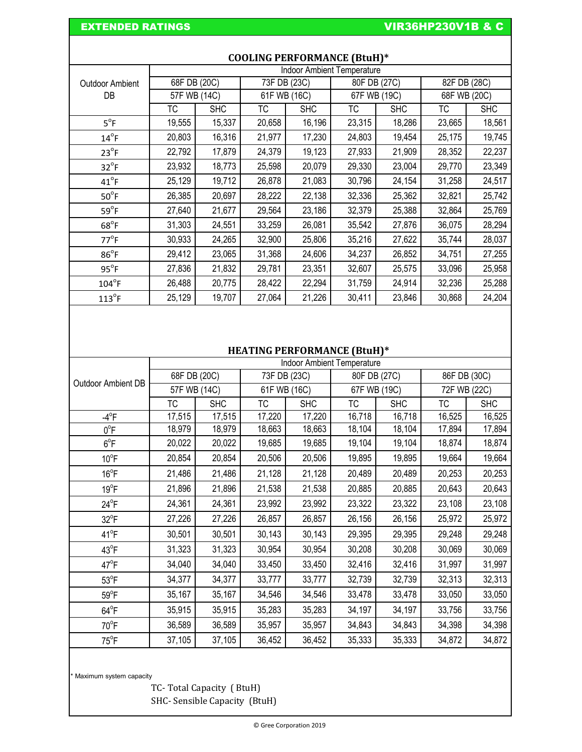## EXTENDED RATINGS **EXTENDED** RATINGS **VIR36HP230V1B & C**

|                        | <b>Indoor Ambient Temperature</b> |            |              |            |              |            |              |            |
|------------------------|-----------------------------------|------------|--------------|------------|--------------|------------|--------------|------------|
| <b>Outdoor Ambient</b> | 68F DB (20C)                      |            | 73F DB (23C) |            | 80F DB (27C) |            | 82F DB (28C) |            |
| DB                     | 57F WB (14C)                      |            | 61F WB (16C) |            | 67F WB (19C) |            | 68F WB (20C) |            |
|                        | ТC                                | <b>SHC</b> | ТC           | <b>SHC</b> | ТC           | <b>SHC</b> | ТC           | <b>SHC</b> |
| $5^{\circ}F$           | 19,555                            | 15,337     | 20,658       | 16,196     | 23,315       | 18,286     | 23,665       | 18,561     |
| $14^{\circ}$ F         | 20,803                            | 16,316     | 21,977       | 17,230     | 24,803       | 19,454     | 25,175       | 19,745     |
| $23^{\circ}$ F         | 22,792                            | 17,879     | 24,379       | 19,123     | 27,933       | 21,909     | 28,352       | 22,237     |
| $32^{\circ}F$          | 23,932                            | 18,773     | 25,598       | 20,079     | 29,330       | 23,004     | 29,770       | 23,349     |
| $41^{\circ}$ F         | 25,129                            | 19,712     | 26,878       | 21,083     | 30,796       | 24,154     | 31,258       | 24,517     |
| $50^{\circ}$ F         | 26,385                            | 20,697     | 28,222       | 22,138     | 32,336       | 25,362     | 32,821       | 25,742     |
| $59^{\circ}F$          | 27,640                            | 21,677     | 29,564       | 23,186     | 32,379       | 25,388     | 32,864       | 25,769     |
| $68^{\circ}$ F         | 31,303                            | 24,551     | 33,259       | 26,081     | 35,542       | 27,876     | 36,075       | 28,294     |
| $77^{\circ}$ F         | 30,933                            | 24,265     | 32,900       | 25,806     | 35,216       | 27,622     | 35,744       | 28,037     |
| $86^{\circ}$ F         | 29,412                            | 23,065     | 31,368       | 24,606     | 34,237       | 26,852     | 34,751       | 27,255     |
| $95^{\circ}F$          | 27,836                            | 21,832     | 29,781       | 23,351     | 32,607       | 25,575     | 33,096       | 25,958     |
| $104^{\circ}$ F        | 26,488                            | 20,775     | 28,422       | 22,294     | 31,759       | 24,914     | 32,236       | 25,288     |
| $113^{\circ}$ F        | 25,129                            | 19,707     | 27,064       | 21,226     | 30,411       | 23,846     | 30,868       | 24,204     |

### **COOLING PERFORMANCE (BtuH)\***

## **HEATING PERFORMANCE (BtuH)\***

|                    | <b>Indoor Ambient Temperature</b> |            |              |            |              |            |              |            |
|--------------------|-----------------------------------|------------|--------------|------------|--------------|------------|--------------|------------|
| Outdoor Ambient DB | 68F DB (20C)                      |            | 73F DB (23C) |            | 80F DB (27C) |            | 86F DB (30C) |            |
|                    | 57F WB (14C)                      |            | 61F WB (16C) |            | 67F WB (19C) |            | 72F WB (22C) |            |
|                    | ТC                                | <b>SHC</b> | ТC           | <b>SHC</b> | ТC           | <b>SHC</b> | TC           | <b>SHC</b> |
| $-4^\circ F$       | 17,515                            | 17,515     | 17,220       | 17,220     | 16,718       | 16,718     | 16,525       | 16,525     |
| $0^{\circ}$ F      | 18,979                            | 18,979     | 18,663       | 18,663     | 18,104       | 18,104     | 17,894       | 17,894     |
| $6^{\circ}$ F      | 20,022                            | 20,022     | 19,685       | 19,685     | 19,104       | 19,104     | 18,874       | 18,874     |
| $10^{\circ}$ F     | 20,854                            | 20,854     | 20,506       | 20,506     | 19,895       | 19,895     | 19,664       | 19,664     |
| $16^{\circ}$ F     | 21,486                            | 21,486     | 21,128       | 21,128     | 20,489       | 20,489     | 20,253       | 20,253     |
| $19^{\circ}F$      | 21,896                            | 21,896     | 21,538       | 21,538     | 20,885       | 20,885     | 20,643       | 20,643     |
| $24^{\circ}F$      | 24,361                            | 24,361     | 23,992       | 23,992     | 23,322       | 23,322     | 23,108       | 23,108     |
| $32^{\circ}F$      | 27,226                            | 27,226     | 26,857       | 26,857     | 26,156       | 26,156     | 25,972       | 25,972     |
| $41^{\circ}F$      | 30,501                            | 30,501     | 30,143       | 30,143     | 29,395       | 29,395     | 29,248       | 29,248     |
| $43^{\circ}F$      | 31,323                            | 31,323     | 30,954       | 30,954     | 30,208       | 30,208     | 30,069       | 30,069     |
| $47^{\circ}$ F     | 34,040                            | 34,040     | 33,450       | 33,450     | 32,416       | 32,416     | 31,997       | 31,997     |
| $53^{\circ}$ F     | 34,377                            | 34,377     | 33,777       | 33,777     | 32,739       | 32,739     | 32,313       | 32,313     |
| $59^{\circ}$ F     | 35,167                            | 35,167     | 34,546       | 34,546     | 33,478       | 33,478     | 33,050       | 33,050     |
| $64^{\circ}F$      | 35,915                            | 35,915     | 35,283       | 35,283     | 34,197       | 34,197     | 33,756       | 33,756     |
| $70^{\circ}$ F     | 36,589                            | 36,589     | 35,957       | 35,957     | 34,843       | 34,843     | 34,398       | 34,398     |
| $75^{\circ}$ F     | 37,105                            | 37,105     | 36,452       | 36,452     | 35,333       | 35,333     | 34,872       | 34,872     |

\* Maximum system capacity

TC- Total Capacity ( BtuH) SHC- Sensible Capacity (BtuH)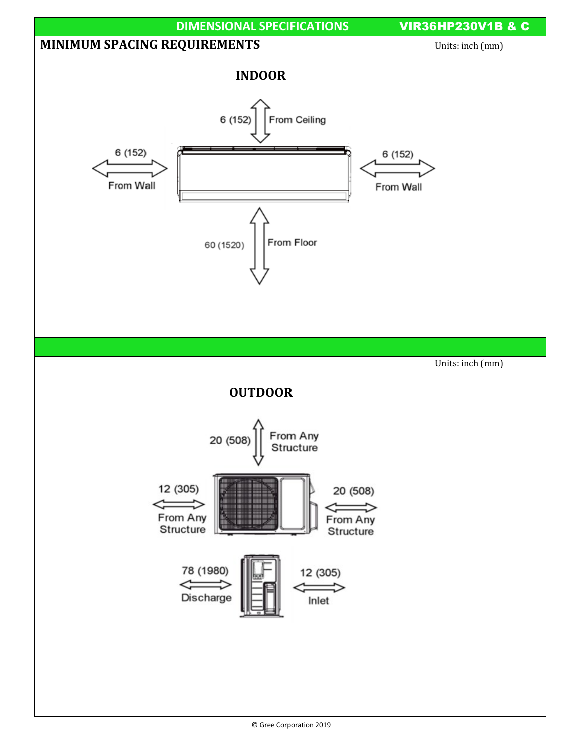

 <sup>©</sup> Gree Corporation 2019